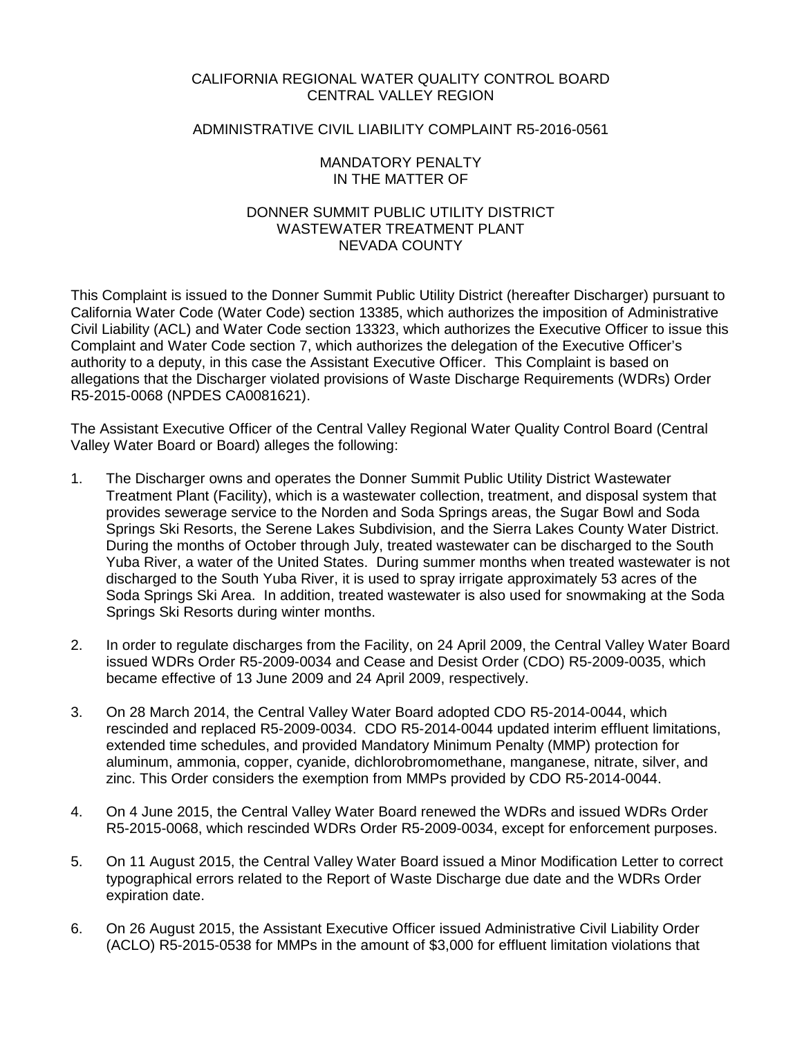## CALIFORNIA REGIONAL WATER QUALITY CONTROL BOARD CENTRAL VALLEY REGION

# ADMINISTRATIVE CIVIL LIABILITY COMPLAINT R5-2016-0561

### MANDATORY PENALTY IN THE MATTER OF

### DONNER SUMMIT PUBLIC UTILITY DISTRICT WASTEWATER TREATMENT PLANT NEVADA COUNTY

This Complaint is issued to the Donner Summit Public Utility District (hereafter Discharger) pursuant to California Water Code (Water Code) section 13385, which authorizes the imposition of Administrative Civil Liability (ACL) and Water Code section 13323, which authorizes the Executive Officer to issue this Complaint and Water Code section 7, which authorizes the delegation of the Executive Officer's authority to a deputy, in this case the Assistant Executive Officer. This Complaint is based on allegations that the Discharger violated provisions of Waste Discharge Requirements (WDRs) Order R5-2015-0068 (NPDES CA0081621).

The Assistant Executive Officer of the Central Valley Regional Water Quality Control Board (Central Valley Water Board or Board) alleges the following:

- 1. The Discharger owns and operates the Donner Summit Public Utility District Wastewater Treatment Plant (Facility), which is a wastewater collection, treatment, and disposal system that provides sewerage service to the Norden and Soda Springs areas, the Sugar Bowl and Soda Springs Ski Resorts, the Serene Lakes Subdivision, and the Sierra Lakes County Water District. During the months of October through July, treated wastewater can be discharged to the South Yuba River, a water of the United States. During summer months when treated wastewater is not discharged to the South Yuba River, it is used to spray irrigate approximately 53 acres of the Soda Springs Ski Area. In addition, treated wastewater is also used for snowmaking at the Soda Springs Ski Resorts during winter months.
- 2. In order to regulate discharges from the Facility, on 24 April 2009, the Central Valley Water Board issued WDRs Order R5-2009-0034 and Cease and Desist Order (CDO) R5-2009-0035, which became effective of 13 June 2009 and 24 April 2009, respectively.
- 3. On 28 March 2014, the Central Valley Water Board adopted CDO R5-2014-0044, which rescinded and replaced R5-2009-0034. CDO R5-2014-0044 updated interim effluent limitations, extended time schedules, and provided Mandatory Minimum Penalty (MMP) protection for aluminum, ammonia, copper, cyanide, dichlorobromomethane, manganese, nitrate, silver, and zinc. This Order considers the exemption from MMPs provided by CDO R5-2014-0044.
- 4. On 4 June 2015, the Central Valley Water Board renewed the WDRs and issued WDRs Order R5-2015-0068, which rescinded WDRs Order R5-2009-0034, except for enforcement purposes.
- 5. On 11 August 2015, the Central Valley Water Board issued a Minor Modification Letter to correct typographical errors related to the Report of Waste Discharge due date and the WDRs Order expiration date.
- 6. On 26 August 2015, the Assistant Executive Officer issued Administrative Civil Liability Order (ACLO) R5-2015-0538 for MMPs in the amount of \$3,000 for effluent limitation violations that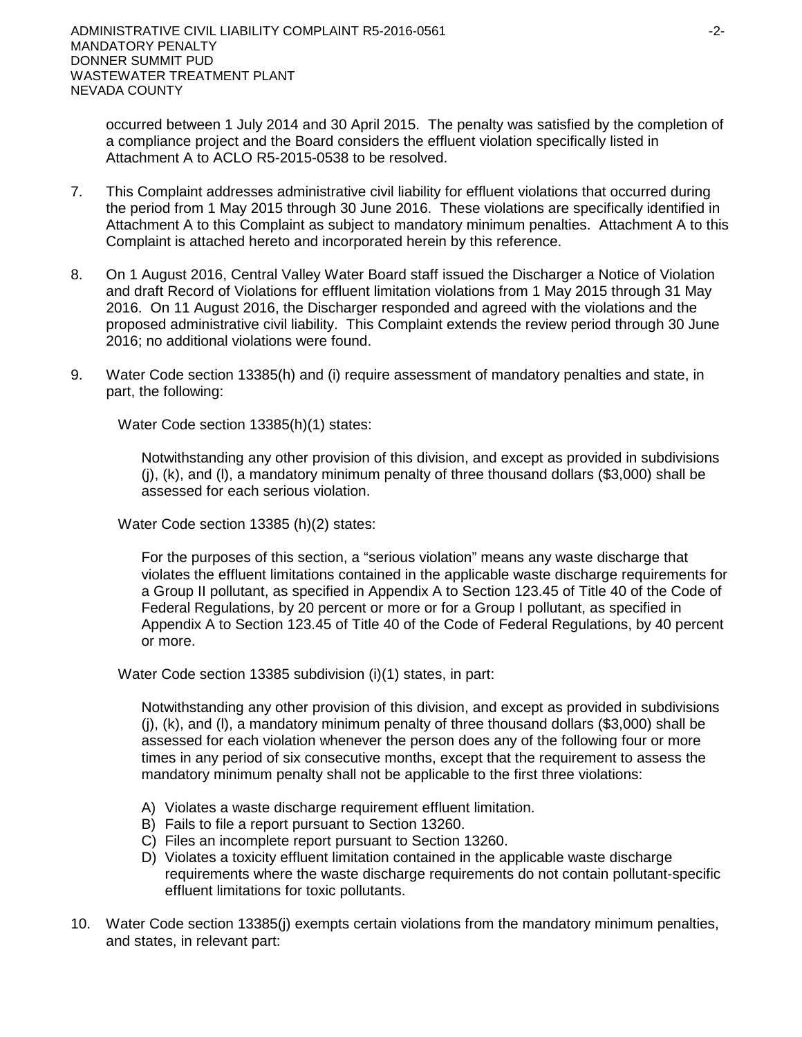occurred between 1 July 2014 and 30 April 2015. The penalty was satisfied by the completion of a compliance project and the Board considers the effluent violation specifically listed in Attachment A to ACLO R5-2015-0538 to be resolved.

- 7. This Complaint addresses administrative civil liability for effluent violations that occurred during the period from 1 May 2015 through 30 June 2016. These violations are specifically identified in Attachment A to this Complaint as subject to mandatory minimum penalties. Attachment A to this Complaint is attached hereto and incorporated herein by this reference.
- 8. On 1 August 2016, Central Valley Water Board staff issued the Discharger a Notice of Violation and draft Record of Violations for effluent limitation violations from 1 May 2015 through 31 May 2016. On 11 August 2016, the Discharger responded and agreed with the violations and the proposed administrative civil liability. This Complaint extends the review period through 30 June 2016; no additional violations were found.
- 9. Water Code section 13385(h) and (i) require assessment of mandatory penalties and state, in part, the following:

Water Code section 13385(h)(1) states:

Notwithstanding any other provision of this division, and except as provided in subdivisions (j), (k), and (l), a mandatory minimum penalty of three thousand dollars (\$3,000) shall be assessed for each serious violation.

Water Code section 13385 (h)(2) states:

For the purposes of this section, a "serious violation" means any waste discharge that violates the effluent limitations contained in the applicable waste discharge requirements for a Group II pollutant, as specified in Appendix A to Section 123.45 of Title 40 of the Code of Federal Regulations, by 20 percent or more or for a Group I pollutant, as specified in Appendix A to Section 123.45 of Title 40 of the Code of Federal Regulations, by 40 percent or more.

Water Code section 13385 subdivision (i)(1) states, in part:

Notwithstanding any other provision of this division, and except as provided in subdivisions  $(i)$ ,  $(k)$ , and  $(l)$ , a mandatory minimum penalty of three thousand dollars (\$3,000) shall be assessed for each violation whenever the person does any of the following four or more times in any period of six consecutive months, except that the requirement to assess the mandatory minimum penalty shall not be applicable to the first three violations:

- A) Violates a waste discharge requirement effluent limitation.
- B) Fails to file a report pursuant to Section 13260.
- C) Files an incomplete report pursuant to Section 13260.
- D) Violates a toxicity effluent limitation contained in the applicable waste discharge requirements where the waste discharge requirements do not contain pollutant-specific effluent limitations for toxic pollutants.
- 10. Water Code section 13385(j) exempts certain violations from the mandatory minimum penalties, and states, in relevant part: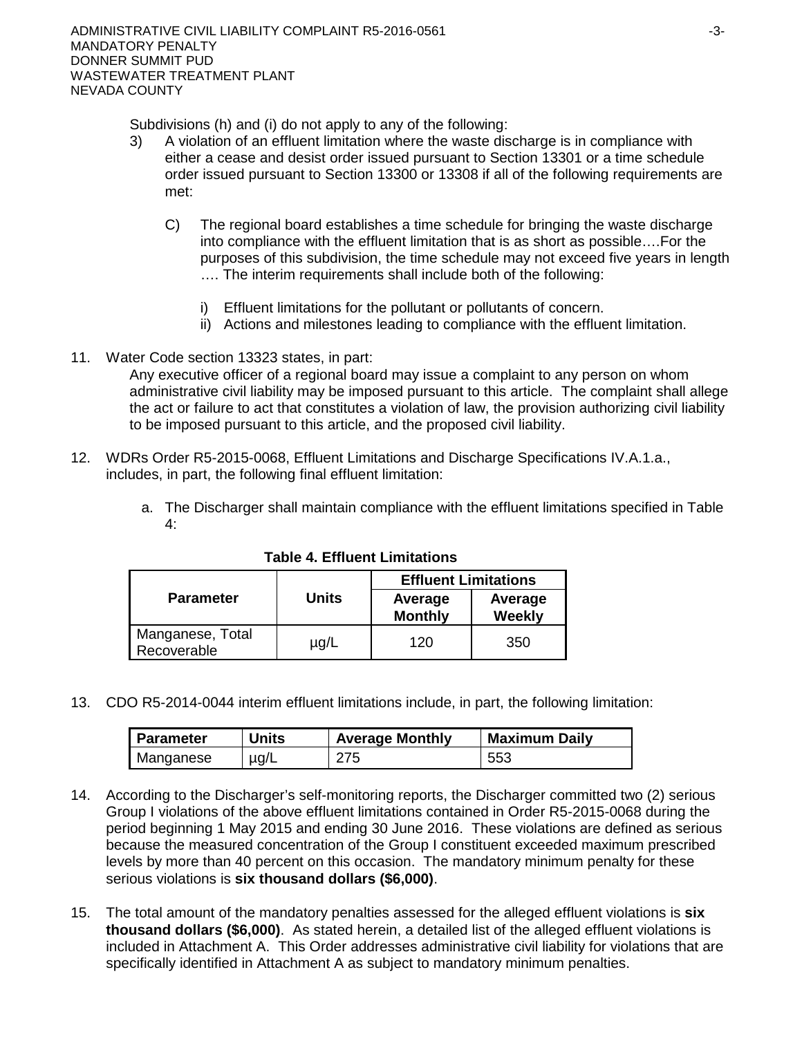Subdivisions (h) and (i) do not apply to any of the following:

- 3) A violation of an effluent limitation where the waste discharge is in compliance with either a cease and desist order issued pursuant to Section 13301 or a time schedule order issued pursuant to Section 13300 or 13308 if all of the following requirements are met:
	- C) The regional board establishes a time schedule for bringing the waste discharge into compliance with the effluent limitation that is as short as possible….For the purposes of this subdivision, the time schedule may not exceed five years in length …. The interim requirements shall include both of the following:
		- i) Effluent limitations for the pollutant or pollutants of concern.
		- ii) Actions and milestones leading to compliance with the effluent limitation.
- 11. Water Code section 13323 states, in part:

Any executive officer of a regional board may issue a complaint to any person on whom administrative civil liability may be imposed pursuant to this article. The complaint shall allege the act or failure to act that constitutes a violation of law, the provision authorizing civil liability to be imposed pursuant to this article, and the proposed civil liability.

- 12. WDRs Order R5-2015-0068, Effluent Limitations and Discharge Specifications IV.A.1.a., includes, in part, the following final effluent limitation:
	- a. The Discharger shall maintain compliance with the effluent limitations specified in Table 4:

|                                 |              | <b>Effluent Limitations</b> |                          |
|---------------------------------|--------------|-----------------------------|--------------------------|
| <b>Parameter</b>                | <b>Units</b> | Average<br><b>Monthly</b>   | Average<br><b>Weekly</b> |
| Manganese, Total<br>Recoverable | $\mu$ g/L    | 120                         | 350                      |

# **Table 4. Effluent Limitations**

13. CDO R5-2014-0044 interim effluent limitations include, in part, the following limitation:

| <b>Parameter</b> | <b>Units</b> | <b>Average Monthly</b> | <b>Maximum Daily</b> |
|------------------|--------------|------------------------|----------------------|
| Manganese        | $\mu$ g/L    | 275                    | 553                  |

- 14. According to the Discharger's self-monitoring reports, the Discharger committed two (2) serious Group I violations of the above effluent limitations contained in Order R5-2015-0068 during the period beginning 1 May 2015 and ending 30 June 2016. These violations are defined as serious because the measured concentration of the Group I constituent exceeded maximum prescribed levels by more than 40 percent on this occasion. The mandatory minimum penalty for these serious violations is **six thousand dollars (\$6,000)**.
- 15. The total amount of the mandatory penalties assessed for the alleged effluent violations is **six thousand dollars (\$6,000)**.As stated herein, a detailed list of the alleged effluent violations is included in Attachment A. This Order addresses administrative civil liability for violations that are specifically identified in Attachment A as subject to mandatory minimum penalties.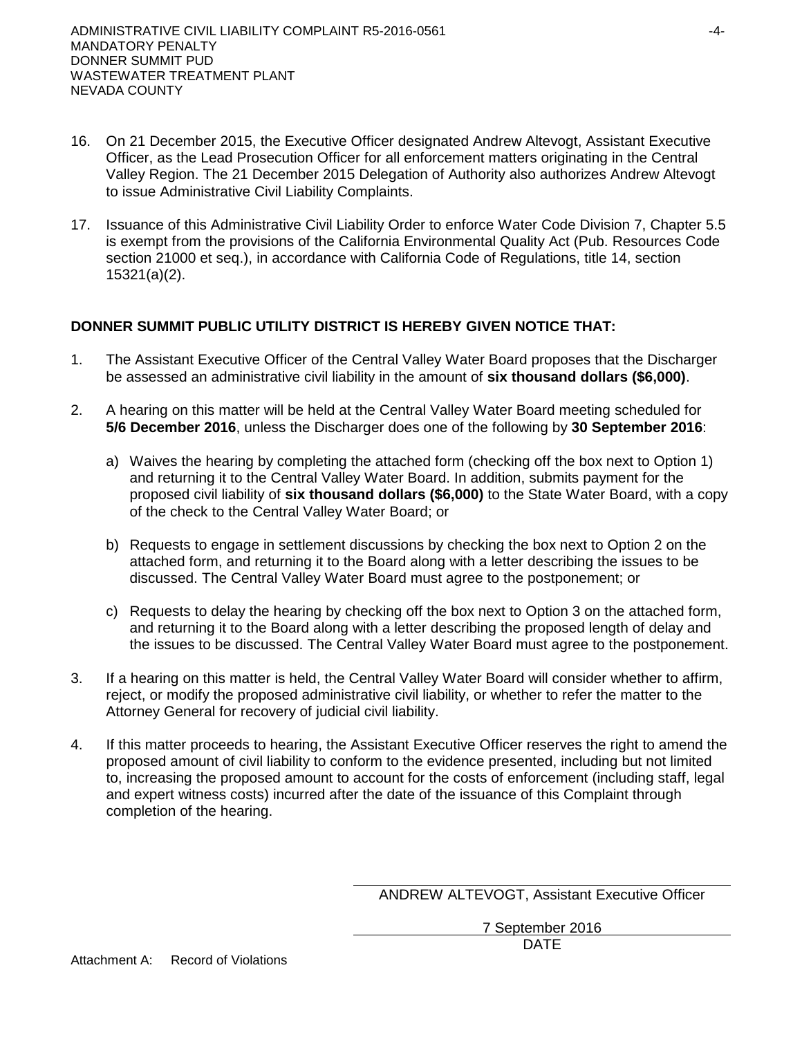- 16. On 21 December 2015, the Executive Officer designated Andrew Altevogt, Assistant Executive Officer, as the Lead Prosecution Officer for all enforcement matters originating in the Central Valley Region. The 21 December 2015 Delegation of Authority also authorizes Andrew Altevogt to issue Administrative Civil Liability Complaints.
- 17. Issuance of this Administrative Civil Liability Order to enforce Water Code Division 7, Chapter 5.5 is exempt from the provisions of the California Environmental Quality Act (Pub. Resources Code section 21000 et seq.), in accordance with California Code of Regulations, title 14, section 15321(a)(2).

# **DONNER SUMMIT PUBLIC UTILITY DISTRICT IS HEREBY GIVEN NOTICE THAT:**

- 1. The Assistant Executive Officer of the Central Valley Water Board proposes that the Discharger be assessed an administrative civil liability in the amount of **six thousand dollars (\$6,000)**.
- 2. A hearing on this matter will be held at the Central Valley Water Board meeting scheduled for **5/6 December 2016**, unless the Discharger does one of the following by **30 September 2016**:
	- a) Waives the hearing by completing the attached form (checking off the box next to Option 1) and returning it to the Central Valley Water Board. In addition, submits payment for the proposed civil liability of **six thousand dollars (\$6,000)** to the State Water Board, with a copy of the check to the Central Valley Water Board; or
	- b) Requests to engage in settlement discussions by checking the box next to Option 2 on the attached form, and returning it to the Board along with a letter describing the issues to be discussed. The Central Valley Water Board must agree to the postponement; or
	- c) Requests to delay the hearing by checking off the box next to Option 3 on the attached form, and returning it to the Board along with a letter describing the proposed length of delay and the issues to be discussed. The Central Valley Water Board must agree to the postponement.
- 3. If a hearing on this matter is held, the Central Valley Water Board will consider whether to affirm, reject, or modify the proposed administrative civil liability, or whether to refer the matter to the Attorney General for recovery of judicial civil liability.
- 4. If this matter proceeds to hearing, the Assistant Executive Officer reserves the right to amend the proposed amount of civil liability to conform to the evidence presented, including but not limited to, increasing the proposed amount to account for the costs of enforcement (including staff, legal and expert witness costs) incurred after the date of the issuance of this Complaint through completion of the hearing.

ANDREW ALTEVOGT, Assistant Executive Officer

7 September 2016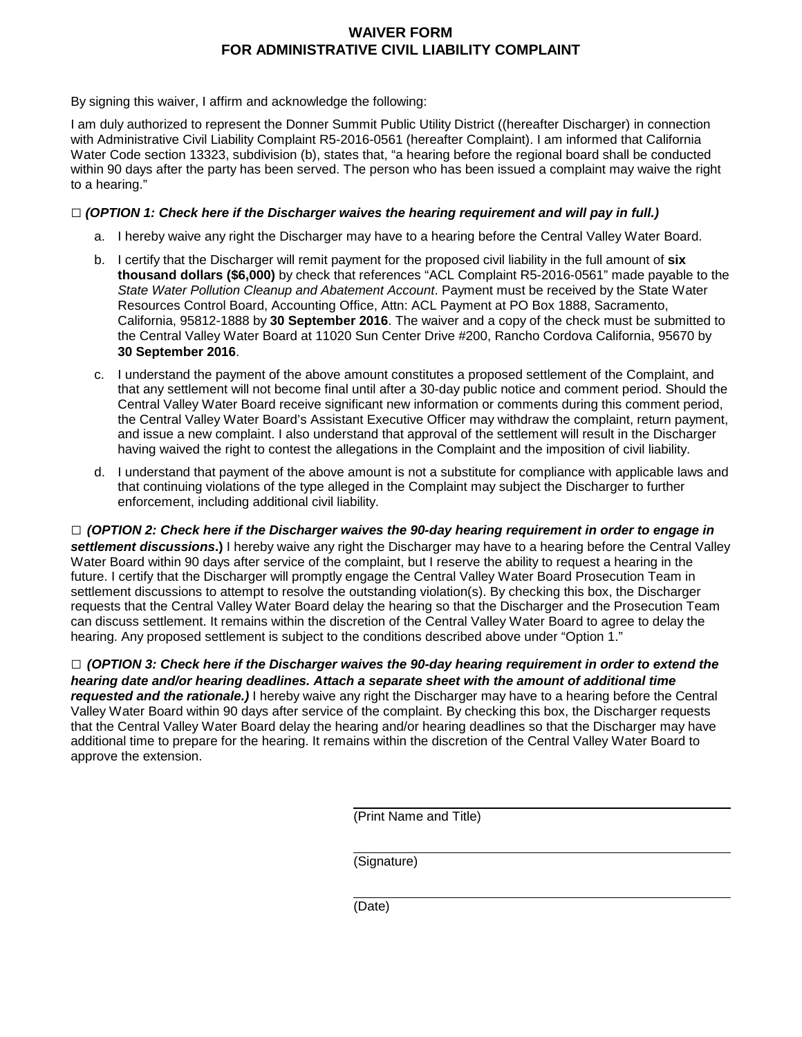# **WAIVER FORM FOR ADMINISTRATIVE CIVIL LIABILITY COMPLAINT**

By signing this waiver, I affirm and acknowledge the following:

I am duly authorized to represent the Donner Summit Public Utility District ((hereafter Discharger) in connection with Administrative Civil Liability Complaint R5-2016-0561 (hereafter Complaint). I am informed that California Water Code section 13323, subdivision (b), states that, "a hearing before the regional board shall be conducted within 90 days after the party has been served. The person who has been issued a complaint may waive the right to a hearing."

### **□** *(OPTION 1: Check here if the Discharger waives the hearing requirement and will pay in full.)*

- a. I hereby waive any right the Discharger may have to a hearing before the Central Valley Water Board.
- b. I certify that the Discharger will remit payment for the proposed civil liability in the full amount of **six thousand dollars (\$6,000)** by check that references "ACL Complaint R5-2016-0561" made payable to the *State Water Pollution Cleanup and Abatement Account*. Payment must be received by the State Water Resources Control Board, Accounting Office, Attn: ACL Payment at PO Box 1888, Sacramento, California, 95812-1888 by **30 September 2016**. The waiver and a copy of the check must be submitted to the Central Valley Water Board at 11020 Sun Center Drive #200, Rancho Cordova California, 95670 by **30 September 2016**.
- c. I understand the payment of the above amount constitutes a proposed settlement of the Complaint, and that any settlement will not become final until after a 30-day public notice and comment period. Should the Central Valley Water Board receive significant new information or comments during this comment period, the Central Valley Water Board's Assistant Executive Officer may withdraw the complaint, return payment, and issue a new complaint. I also understand that approval of the settlement will result in the Discharger having waived the right to contest the allegations in the Complaint and the imposition of civil liability.
- d. I understand that payment of the above amount is not a substitute for compliance with applicable laws and that continuing violations of the type alleged in the Complaint may subject the Discharger to further enforcement, including additional civil liability.

**□** *(OPTION 2: Check here if the Discharger waives the 90-day hearing requirement in order to engage in settlement discussions***.)** I hereby waive any right the Discharger may have to a hearing before the Central Valley Water Board within 90 days after service of the complaint, but I reserve the ability to request a hearing in the future. I certify that the Discharger will promptly engage the Central Valley Water Board Prosecution Team in settlement discussions to attempt to resolve the outstanding violation(s). By checking this box, the Discharger requests that the Central Valley Water Board delay the hearing so that the Discharger and the Prosecution Team can discuss settlement. It remains within the discretion of the Central Valley Water Board to agree to delay the hearing. Any proposed settlement is subject to the conditions described above under "Option 1."

**□** *(OPTION 3: Check here if the Discharger waives the 90-day hearing requirement in order to extend the hearing date and/or hearing deadlines. Attach a separate sheet with the amount of additional time requested and the rationale.)* I hereby waive any right the Discharger may have to a hearing before the Central Valley Water Board within 90 days after service of the complaint. By checking this box, the Discharger requests that the Central Valley Water Board delay the hearing and/or hearing deadlines so that the Discharger may have additional time to prepare for the hearing. It remains within the discretion of the Central Valley Water Board to approve the extension.

(Print Name and Title)

(Signature)

(Date)